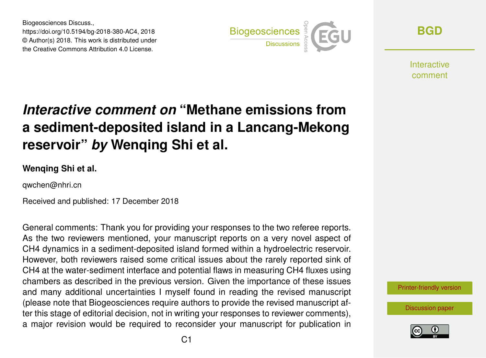Biogeosciences Discuss., https://doi.org/10.5194/bg-2018-380-AC4, 2018 © Author(s) 2018. This work is distributed under the Creative Commons Attribution 4.0 License.



**[BGD](https://www.biogeosciences-discuss.net/)**

Interactive comment

# *Interactive comment on* **"Methane emissions from a sediment-deposited island in a Lancang-Mekong reservoir"** *by* **Wenqing Shi et al.**

#### **Wenqing Shi et al.**

qwchen@nhri.cn

Received and published: 17 December 2018

General comments: Thank you for providing your responses to the two referee reports. As the two reviewers mentioned, your manuscript reports on a very novel aspect of CH4 dynamics in a sediment-deposited island formed within a hydroelectric reservoir. However, both reviewers raised some critical issues about the rarely reported sink of CH4 at the water-sediment interface and potential flaws in measuring CH4 fluxes using chambers as described in the previous version. Given the importance of these issues and many additional uncertainties I myself found in reading the revised manuscript (please note that Biogeosciences require authors to provide the revised manuscript after this stage of editorial decision, not in writing your responses to reviewer comments), a major revision would be required to reconsider your manuscript for publication in



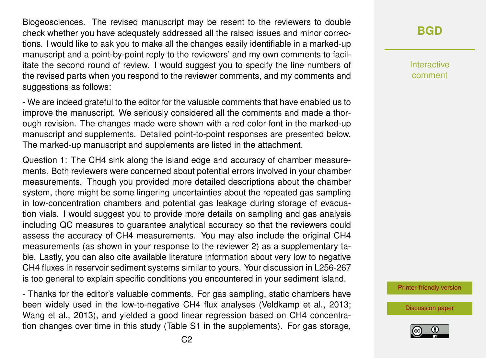Biogeosciences. The revised manuscript may be resent to the reviewers to double check whether you have adequately addressed all the raised issues and minor corrections. I would like to ask you to make all the changes easily identifiable in a marked-up manuscript and a point-by-point reply to the reviewers' and my own comments to facilitate the second round of review. I would suggest you to specify the line numbers of the revised parts when you respond to the reviewer comments, and my comments and suggestions as follows:

- We are indeed grateful to the editor for the valuable comments that have enabled us to improve the manuscript. We seriously considered all the comments and made a thorough revision. The changes made were shown with a red color font in the marked-up manuscript and supplements. Detailed point-to-point responses are presented below. The marked-up manuscript and supplements are listed in the attachment.

Question 1: The CH4 sink along the island edge and accuracy of chamber measurements. Both reviewers were concerned about potential errors involved in your chamber measurements. Though you provided more detailed descriptions about the chamber system, there might be some lingering uncertainties about the repeated gas sampling in low-concentration chambers and potential gas leakage during storage of evacuation vials. I would suggest you to provide more details on sampling and gas analysis including QC measures to guarantee analytical accuracy so that the reviewers could assess the accuracy of CH4 measurements. You may also include the original CH4 measurements (as shown in your response to the reviewer 2) as a supplementary table. Lastly, you can also cite available literature information about very low to negative CH4 fluxes in reservoir sediment systems similar to yours. Your discussion in L256-267 is too general to explain specific conditions you encountered in your sediment island.

- Thanks for the editor's valuable comments. For gas sampling, static chambers have been widely used in the low-to-negative CH4 flux analyses (Veldkamp et al., 2013; Wang et al., 2013), and yielded a good linear regression based on CH4 concentration changes over time in this study (Table S1 in the supplements). For gas storage,

### **[BGD](https://www.biogeosciences-discuss.net/)**

Interactive comment

[Printer-friendly version](https://www.biogeosciences-discuss.net/bg-2018-380/bg-2018-380-AC4-print.pdf)

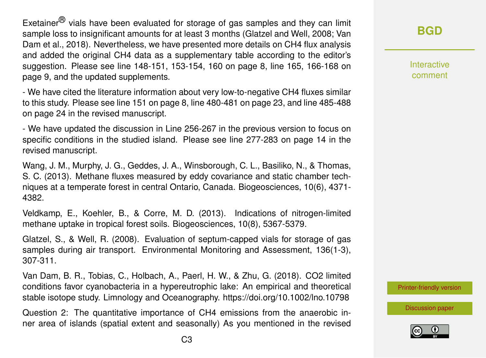Exetainer<sup> $<sup>(B)</sup>$  vials have been evaluated for storage of gas samples and they can limit</sup></sup> sample loss to insignificant amounts for at least 3 months (Glatzel and Well, 2008; Van Dam et al., 2018). Nevertheless, we have presented more details on CH4 flux analysis and added the original CH4 data as a supplementary table according to the editor's suggestion. Please see line 148-151, 153-154, 160 on page 8, line 165, 166-168 on page 9, and the updated supplements.

- We have cited the literature information about very low-to-negative CH4 fluxes similar to this study. Please see line 151 on page 8, line 480-481 on page 23, and line 485-488 on page 24 in the revised manuscript.

- We have updated the discussion in Line 256-267 in the previous version to focus on specific conditions in the studied island. Please see line 277-283 on page 14 in the revised manuscript.

Wang, J. M., Murphy, J. G., Geddes, J. A., Winsborough, C. L., Basiliko, N., & Thomas, S. C. (2013). Methane fluxes measured by eddy covariance and static chamber techniques at a temperate forest in central Ontario, Canada. Biogeosciences, 10(6), 4371- 4382.

Veldkamp, E., Koehler, B., & Corre, M. D. (2013). Indications of nitrogen-limited methane uptake in tropical forest soils. Biogeosciences, 10(8), 5367-5379.

Glatzel, S., & Well, R. (2008). Evaluation of septum-capped vials for storage of gas samples during air transport. Environmental Monitoring and Assessment, 136(1-3), 307-311.

Van Dam, B. R., Tobias, C., Holbach, A., Paerl, H. W., & Zhu, G. (2018). CO2 limited conditions favor cyanobacteria in a hypereutrophic lake: An empirical and theoretical stable isotope study. Limnology and Oceanography. https://doi.org/10.1002/lno.10798

Question 2: The quantitative importance of CH4 emissions from the anaerobic inner area of islands (spatial extent and seasonally) As you mentioned in the revised

#### **[BGD](https://www.biogeosciences-discuss.net/)**

Interactive comment

[Printer-friendly version](https://www.biogeosciences-discuss.net/bg-2018-380/bg-2018-380-AC4-print.pdf)

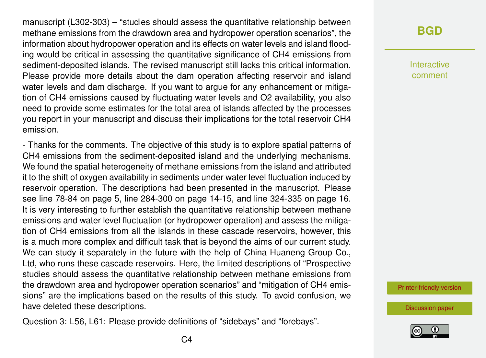manuscript (L302-303) – "studies should assess the quantitative relationship between methane emissions from the drawdown area and hydropower operation scenarios", the information about hydropower operation and its effects on water levels and island flooding would be critical in assessing the quantitative significance of CH4 emissions from sediment-deposited islands. The revised manuscript still lacks this critical information. Please provide more details about the dam operation affecting reservoir and island water levels and dam discharge. If you want to argue for any enhancement or mitigation of CH4 emissions caused by fluctuating water levels and O2 availability, you also need to provide some estimates for the total area of islands affected by the processes you report in your manuscript and discuss their implications for the total reservoir CH4 emission.

- Thanks for the comments. The objective of this study is to explore spatial patterns of CH4 emissions from the sediment-deposited island and the underlying mechanisms. We found the spatial heterogeneity of methane emissions from the island and attributed it to the shift of oxygen availability in sediments under water level fluctuation induced by reservoir operation. The descriptions had been presented in the manuscript. Please see line 78-84 on page 5, line 284-300 on page 14-15, and line 324-335 on page 16. It is very interesting to further establish the quantitative relationship between methane emissions and water level fluctuation (or hydropower operation) and assess the mitigation of CH4 emissions from all the islands in these cascade reservoirs, however, this is a much more complex and difficult task that is beyond the aims of our current study. We can study it separately in the future with the help of China Huaneng Group Co., Ltd, who runs these cascade reservoirs. Here, the limited descriptions of "Prospective studies should assess the quantitative relationship between methane emissions from the drawdown area and hydropower operation scenarios" and "mitigation of CH4 emissions" are the implications based on the results of this study. To avoid confusion, we have deleted these descriptions.

Question 3: L56, L61: Please provide definitions of "sidebays" and "forebays".

#### **[BGD](https://www.biogeosciences-discuss.net/)**

Interactive comment

[Printer-friendly version](https://www.biogeosciences-discuss.net/bg-2018-380/bg-2018-380-AC4-print.pdf)

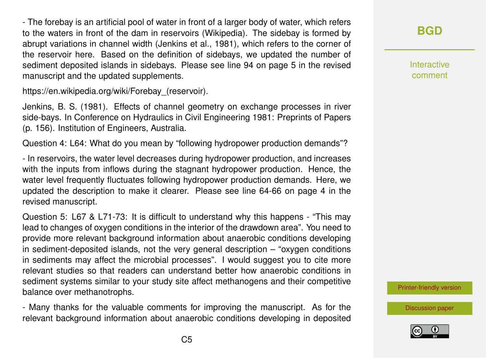- The forebay is an artificial pool of water in front of a larger body of water, which refers to the waters in front of the dam in reservoirs (Wikipedia). The sidebay is formed by abrupt variations in channel width (Jenkins et al., 1981), which refers to the corner of the reservoir here. Based on the definition of sidebays, we updated the number of sediment deposited islands in sidebays. Please see line 94 on page 5 in the revised manuscript and the updated supplements.

https://en.wikipedia.org/wiki/Forebay (reservoir).

Jenkins, B. S. (1981). Effects of channel geometry on exchange processes in river side-bays. In Conference on Hydraulics in Civil Engineering 1981: Preprints of Papers (p. 156). Institution of Engineers, Australia.

Question 4: L64: What do you mean by "following hydropower production demands"?

- In reservoirs, the water level decreases during hydropower production, and increases with the inputs from inflows during the stagnant hydropower production. Hence, the water level frequently fluctuates following hydropower production demands. Here, we updated the description to make it clearer. Please see line 64-66 on page 4 in the revised manuscript.

Question 5: L67 & L71-73: It is difficult to understand why this happens - "This may lead to changes of oxygen conditions in the interior of the drawdown area". You need to provide more relevant background information about anaerobic conditions developing in sediment-deposited islands, not the very general description – "oxygen conditions in sediments may affect the microbial processes". I would suggest you to cite more relevant studies so that readers can understand better how anaerobic conditions in sediment systems similar to your study site affect methanogens and their competitive balance over methanotrophs.

- Many thanks for the valuable comments for improving the manuscript. As for the relevant background information about anaerobic conditions developing in deposited **Interactive** comment

[Printer-friendly version](https://www.biogeosciences-discuss.net/bg-2018-380/bg-2018-380-AC4-print.pdf)

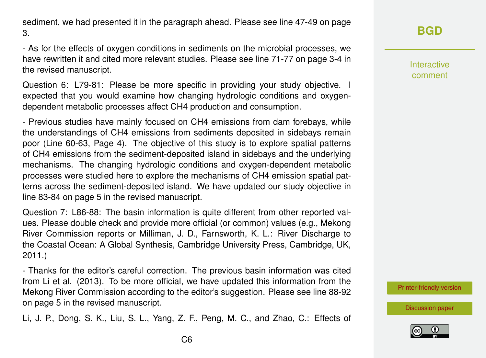sediment, we had presented it in the paragraph ahead. Please see line 47-49 on page 3.

- As for the effects of oxygen conditions in sediments on the microbial processes, we have rewritten it and cited more relevant studies. Please see line 71-77 on page 3-4 in the revised manuscript.

Question 6: L79-81: Please be more specific in providing your study objective. I expected that you would examine how changing hydrologic conditions and oxygendependent metabolic processes affect CH4 production and consumption.

- Previous studies have mainly focused on CH4 emissions from dam forebays, while the understandings of CH4 emissions from sediments deposited in sidebays remain poor (Line 60-63, Page 4). The objective of this study is to explore spatial patterns of CH4 emissions from the sediment-deposited island in sidebays and the underlying mechanisms. The changing hydrologic conditions and oxygen-dependent metabolic processes were studied here to explore the mechanisms of CH4 emission spatial patterns across the sediment-deposited island. We have updated our study objective in line 83-84 on page 5 in the revised manuscript.

Question 7: L86-88: The basin information is quite different from other reported values. Please double check and provide more official (or common) values (e.g., Mekong River Commission reports or Milliman, J. D., Farnsworth, K. L.: River Discharge to the Coastal Ocean: A Global Synthesis, Cambridge University Press, Cambridge, UK, 2011.)

- Thanks for the editor's careful correction. The previous basin information was cited from Li et al. (2013). To be more official, we have updated this information from the Mekong River Commission according to the editor's suggestion. Please see line 88-92 on page 5 in the revised manuscript.

Li, J. P., Dong, S. K., Liu, S. L., Yang, Z. F., Peng, M. C., and Zhao, C.: Effects of

# **[BGD](https://www.biogeosciences-discuss.net/)**

Interactive comment

[Printer-friendly version](https://www.biogeosciences-discuss.net/bg-2018-380/bg-2018-380-AC4-print.pdf)

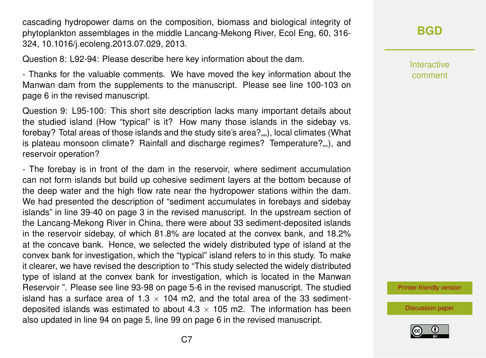cascading hydropower dams on the composition, biomass and biological integrity of phytoplankton assemblages in the middle Lancang-Mekong River, Ecol Eng, 60, 316- 324, 10.1016/j.ecoleng.2013.07.029, 2013.

Question 8: L92-94: Please describe here key information about the dam.

- Thanks for the valuable comments. We have moved the key information about the Manwan dam from the supplements to the manuscript. Please see line 100-103 on page 6 in the revised manuscript.

Question 9: L95-100: This short site description lacks many important details about the studied island (How "typical" is it? How many those islands in the sidebay vs. forebay? Total areas of those islands and the study site's area?...,), local climates (What is plateau monsoon climate? Rainfall and discharge regimes? Temperature?...), and reservoir operation?

- The forebay is in front of the dam in the reservoir, where sediment accumulation can not form islands but build up cohesive sediment layers at the bottom because of the deep water and the high flow rate near the hydropower stations within the dam. We had presented the description of "sediment accumulates in forebays and sidebay islands" in line 39-40 on page 3 in the revised manuscript. In the upstream section of the Lancang-Mekong River in China, there were about 33 sediment-deposited islands in the reservoir sidebay, of which 81.8% are located at the convex bank, and 18.2% at the concave bank. Hence, we selected the widely distributed type of island at the convex bank for investigation, which the "typical" island refers to in this study. To make it clearer, we have revised the description to "This study selected the widely distributed type of island at the convex bank for investigation, which is located in the Manwan Reservoir ". Please see line 93-98 on page 5-6 in the revised manuscript. The studied island has a surface area of 1.3  $\times$  104 m2, and the total area of the 33 sedimentdeposited islands was estimated to about  $4.3 \times 105$  m2. The information has been also updated in line 94 on page 5, line 99 on page 6 in the revised manuscript.

# **[BGD](https://www.biogeosciences-discuss.net/)**

Interactive comment

[Printer-friendly version](https://www.biogeosciences-discuss.net/bg-2018-380/bg-2018-380-AC4-print.pdf)

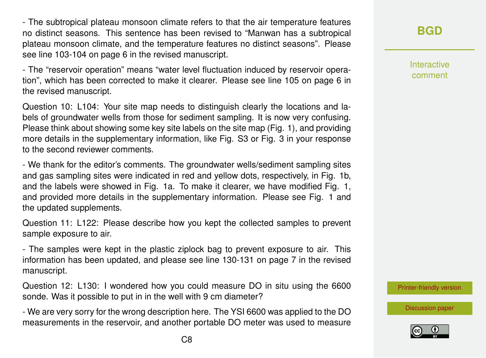- The subtropical plateau monsoon climate refers to that the air temperature features no distinct seasons. This sentence has been revised to "Manwan has a subtropical plateau monsoon climate, and the temperature features no distinct seasons". Please see line 103-104 on page 6 in the revised manuscript.

- The "reservoir operation" means "water level fluctuation induced by reservoir operation", which has been corrected to make it clearer. Please see line 105 on page 6 in the revised manuscript.

Question 10: L104: Your site map needs to distinguish clearly the locations and labels of groundwater wells from those for sediment sampling. It is now very confusing. Please think about showing some key site labels on the site map (Fig. 1), and providing more details in the supplementary information, like Fig. S3 or Fig. 3 in your response to the second reviewer comments.

- We thank for the editor's comments. The groundwater wells/sediment sampling sites and gas sampling sites were indicated in red and yellow dots, respectively, in Fig. 1b, and the labels were showed in Fig. 1a. To make it clearer, we have modified Fig. 1, and provided more details in the supplementary information. Please see Fig. 1 and the updated supplements.

Question 11: L122: Please describe how you kept the collected samples to prevent sample exposure to air.

- The samples were kept in the plastic ziplock bag to prevent exposure to air. This information has been updated, and please see line 130-131 on page 7 in the revised manuscript.

Question 12: L130: I wondered how you could measure DO in situ using the 6600 sonde. Was it possible to put in in the well with 9 cm diameter?

- We are very sorry for the wrong description here. The YSI 6600 was applied to the DO measurements in the reservoir, and another portable DO meter was used to measure **[BGD](https://www.biogeosciences-discuss.net/)**

Interactive comment

[Printer-friendly version](https://www.biogeosciences-discuss.net/bg-2018-380/bg-2018-380-AC4-print.pdf)

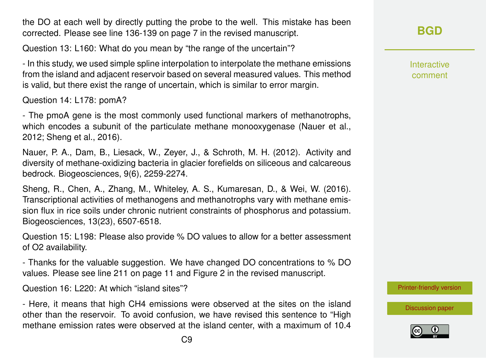the DO at each well by directly putting the probe to the well. This mistake has been corrected. Please see line 136-139 on page 7 in the revised manuscript.

Question 13: L160: What do you mean by "the range of the uncertain"?

- In this study, we used simple spline interpolation to interpolate the methane emissions from the island and adjacent reservoir based on several measured values. This method is valid, but there exist the range of uncertain, which is similar to error margin.

Question 14: L178: pomA?

- The pmoA gene is the most commonly used functional markers of methanotrophs, which encodes a subunit of the particulate methane monooxygenase (Nauer et al., 2012; Sheng et al., 2016).

Nauer, P. A., Dam, B., Liesack, W., Zeyer, J., & Schroth, M. H. (2012). Activity and diversity of methane-oxidizing bacteria in glacier forefields on siliceous and calcareous bedrock. Biogeosciences, 9(6), 2259-2274.

Sheng, R., Chen, A., Zhang, M., Whiteley, A. S., Kumaresan, D., & Wei, W. (2016). Transcriptional activities of methanogens and methanotrophs vary with methane emission flux in rice soils under chronic nutrient constraints of phosphorus and potassium. Biogeosciences, 13(23), 6507-6518.

Question 15: L198: Please also provide % DO values to allow for a better assessment of O2 availability.

- Thanks for the valuable suggestion. We have changed DO concentrations to % DO values. Please see line 211 on page 11 and Figure 2 in the revised manuscript.

Question 16: L220: At which "island sites"?

- Here, it means that high CH4 emissions were observed at the sites on the island other than the reservoir. To avoid confusion, we have revised this sentence to "High methane emission rates were observed at the island center, with a maximum of 10.4 Interactive comment

[Printer-friendly version](https://www.biogeosciences-discuss.net/bg-2018-380/bg-2018-380-AC4-print.pdf)

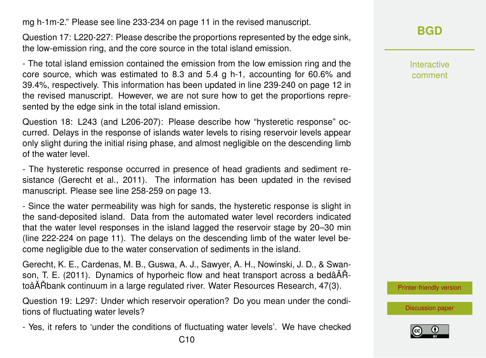mg h-1m-2." Please see line 233-234 on page 11 in the revised manuscript.

Question 17: L220-227: Please describe the proportions represented by the edge sink, the low-emission ring, and the core source in the total island emission.

- The total island emission contained the emission from the low emission ring and the core source, which was estimated to 8.3 and 5.4 g h-1, accounting for 60.6% and 39.4%, respectively. This information has been updated in line 239-240 on page 12 in the revised manuscript. However, we are not sure how to get the proportions represented by the edge sink in the total island emission.

Question 18: L243 (and L206-207): Please describe how "hysteretic response" occurred. Delays in the response of islands water levels to rising reservoir levels appear only slight during the initial rising phase, and almost negligible on the descending limb of the water level.

- The hysteretic response occurred in presence of head gradients and sediment resistance (Gerecht et al., 2011). The information has been updated in the revised manuscript. Please see line 258-259 on page 13.

- Since the water permeability was high for sands, the hysteretic response is slight in the sand-deposited island. Data from the automated water level recorders indicated that the water level responses in the island lagged the reservoir stage by 20–30 min (line 222-224 on page 11). The delays on the descending limb of the water level become negligible due to the water conservation of sediments in the island.

Gerecht, K. E., Cardenas, M. B., Guswa, A. J., Sawyer, A. H., Nowinski, J. D., & Swanson, T. E. (2011). Dynamics of hyporheic flow and heat transport across a bedâ $\tilde{A}$ . toâĂŘbank continuum in a large regulated river. Water Resources Research, 47(3).

Question 19: L297: Under which reservoir operation? Do you mean under the conditions of fluctuating water levels?

- Yes, it refers to 'under the conditions of fluctuating water levels'. We have checked

**[BGD](https://www.biogeosciences-discuss.net/)**

Interactive comment

[Printer-friendly version](https://www.biogeosciences-discuss.net/bg-2018-380/bg-2018-380-AC4-print.pdf)